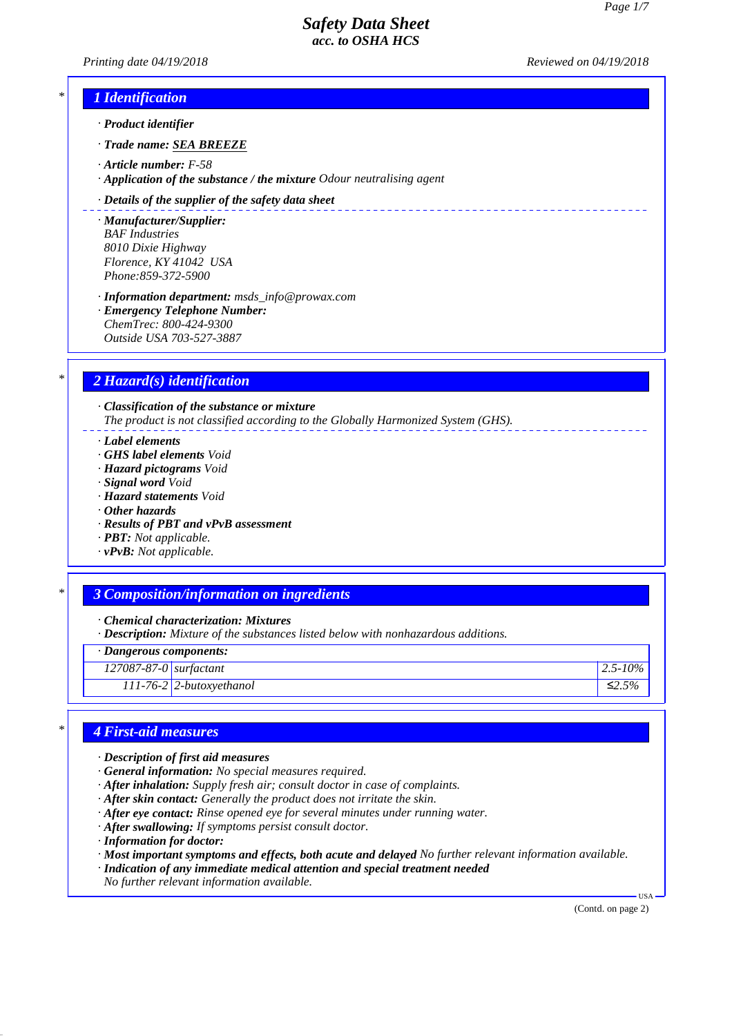*Printing date 04/19/2018 Reviewed on 04/19/2018*

\_\_\_\_\_\_\_\_\_\_\_\_\_\_\_\_\_\_\_\_\_\_\_

## *\* 1 Identification*

*· Product identifier*

*· Trade name: SEA BREEZE*

*· Article number: F-58*

*· Application of the substance / the mixture Odour neutralising agent*

#### *· Details of the supplier of the safety data sheet*

*· Manufacturer/Supplier: BAF Industries 8010 Dixie Highway Florence, KY 41042 USA Phone:859-372-5900*

*· Information department: msds\_info@prowax.com · Emergency Telephone Number: ChemTrec: 800-424-9300 Outside USA 703-527-3887*

### *\* 2 Hazard(s) identification*

*· Classification of the substance or mixture The product is not classified according to the Globally Harmonized System (GHS).*

*· Label elements*

- *· GHS label elements Void*
- *· Hazard pictograms Void*
- *· Signal word Void*
- *· Hazard statements Void*
- *· Other hazards*
- *· Results of PBT and vPvB assessment*
- *· PBT: Not applicable.*
- *· vPvB: Not applicable.*

### *\* 3 Composition/information on ingredients*

*· Chemical characterization: Mixtures*

*· Description: Mixture of the substances listed below with nonhazardous additions.*

*· Dangerous components:*

*127087-87-0 surfactant 2.5-10%*

*111-76-2 2-butoxyethanol ≤2.5%*

### *\* 4 First-aid measures*

- *· Description of first aid measures*
- *· General information: No special measures required.*
- *· After inhalation: Supply fresh air; consult doctor in case of complaints.*
- *· After skin contact: Generally the product does not irritate the skin.*
- *· After eye contact: Rinse opened eye for several minutes under running water.*
- *· After swallowing: If symptoms persist consult doctor.*
- *· Information for doctor:*
- *· Most important symptoms and effects, both acute and delayed No further relevant information available.*
- *· Indication of any immediate medical attention and special treatment needed*
- *No further relevant information available.*

(Contd. on page 2)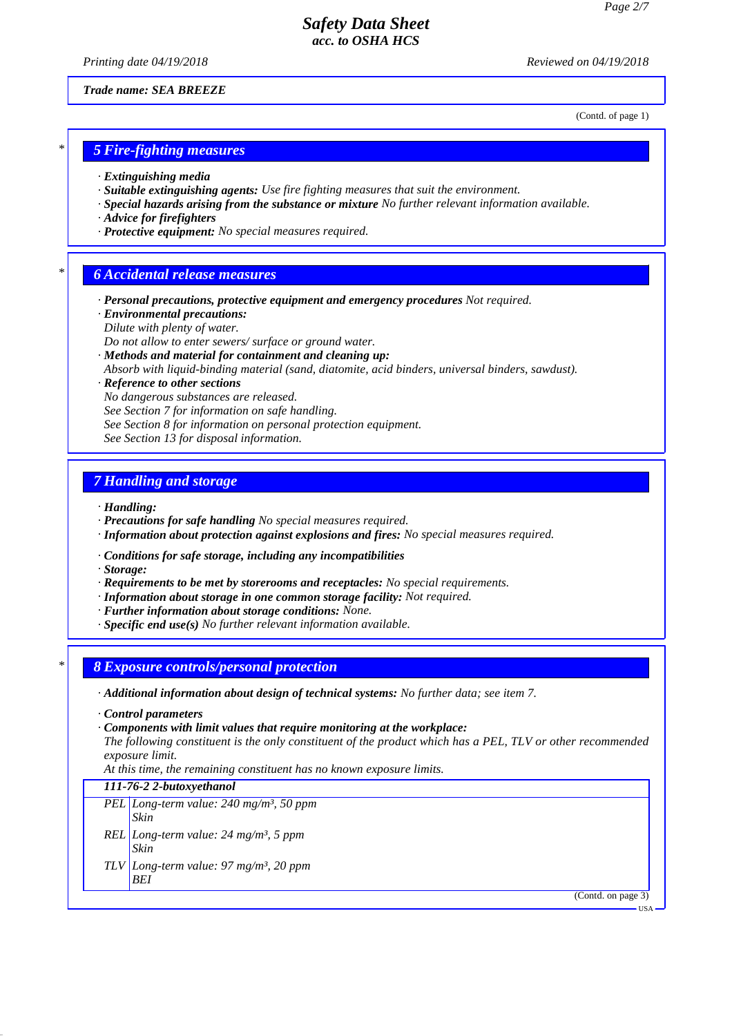*Printing date 04/19/2018 Reviewed on 04/19/2018*

*Trade name: SEA BREEZE*

(Contd. of page 1)

### *\* 5 Fire-fighting measures*

- *· Extinguishing media*
- *· Suitable extinguishing agents: Use fire fighting measures that suit the environment.*
- *· Special hazards arising from the substance or mixture No further relevant information available.*
- *· Advice for firefighters*
- *· Protective equipment: No special measures required.*

### *\* 6 Accidental release measures*

- *· Personal precautions, protective equipment and emergency procedures Not required.*
- *· Environmental precautions:*
- *Dilute with plenty of water.*
- *Do not allow to enter sewers/ surface or ground water.*
- *· Methods and material for containment and cleaning up:*
- *Absorb with liquid-binding material (sand, diatomite, acid binders, universal binders, sawdust).*

### *· Reference to other sections*

- *No dangerous substances are released.*
- *See Section 7 for information on safe handling.*
- *See Section 8 for information on personal protection equipment.*
- *See Section 13 for disposal information.*

### *7 Handling and storage*

- *· Handling:*
- *· Precautions for safe handling No special measures required.*
- *· Information about protection against explosions and fires: No special measures required.*
- *· Conditions for safe storage, including any incompatibilities*
- *· Storage:*
- *· Requirements to be met by storerooms and receptacles: No special requirements.*
- *· Information about storage in one common storage facility: Not required.*
- *· Further information about storage conditions: None.*
- *· Specific end use(s) No further relevant information available.*

### *\* 8 Exposure controls/personal protection*

- *· Additional information about design of technical systems: No further data; see item 7.*
- *· Control parameters*
- *· Components with limit values that require monitoring at the workplace:*

*The following constituent is the only constituent of the product which has a PEL, TLV or other recommended exposure limit.*

*At this time, the remaining constituent has no known exposure limits.*

### *111-76-2 2-butoxyethanol*

- *PEL Long-term value: 240 mg/m³, 50 ppm Skin REL Long-term value: 24 mg/m³, 5 ppm Skin*
- *TLV Long-term value: 97 mg/m³, 20 ppm BEI*

(Contd. on page 3)

USA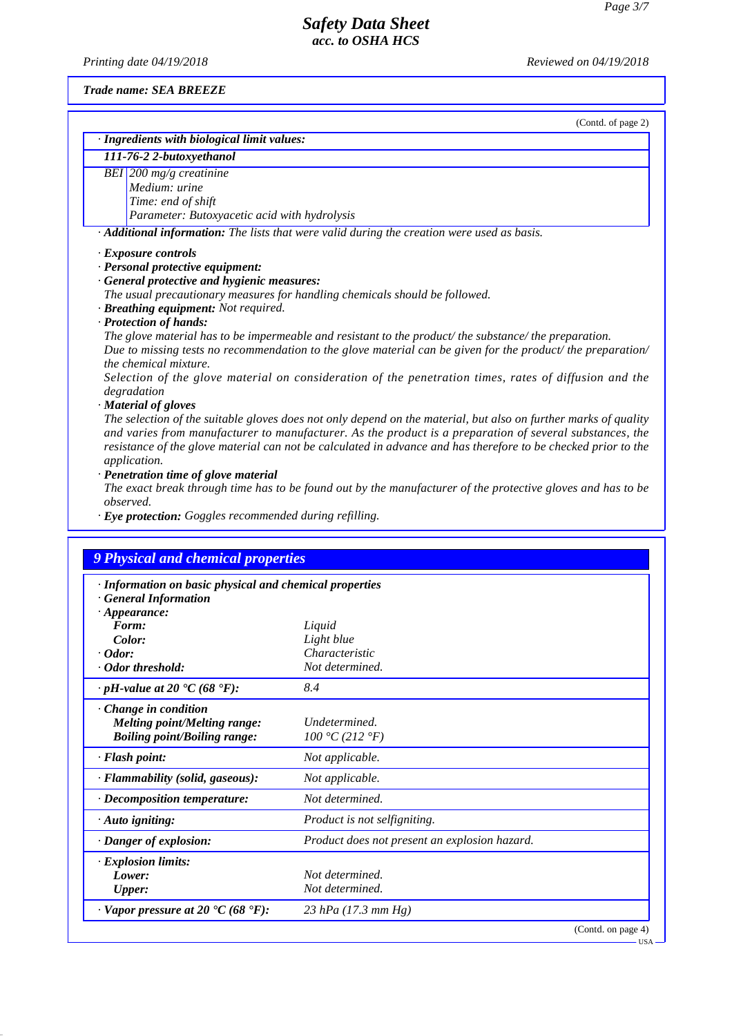*Printing date 04/19/2018 Reviewed on 04/19/2018*

*Trade name: SEA BREEZE*

|                                                                            | (Contd. of page 2)                                                                                                                                                                                                         |
|----------------------------------------------------------------------------|----------------------------------------------------------------------------------------------------------------------------------------------------------------------------------------------------------------------------|
| · Ingredients with biological limit values:                                |                                                                                                                                                                                                                            |
| 111-76-2 2-butoxyethanol                                                   |                                                                                                                                                                                                                            |
| BEI 200 mg/g creatinine                                                    |                                                                                                                                                                                                                            |
| Medium: urine<br>Time: end of shift                                        |                                                                                                                                                                                                                            |
| Parameter: Butoxyacetic acid with hydrolysis                               |                                                                                                                                                                                                                            |
|                                                                            | · Additional information: The lists that were valid during the creation were used as basis.                                                                                                                                |
|                                                                            |                                                                                                                                                                                                                            |
| · Exposure controls                                                        |                                                                                                                                                                                                                            |
| · Personal protective equipment:                                           |                                                                                                                                                                                                                            |
| · General protective and hygienic measures:                                | The usual precautionary measures for handling chemicals should be followed.                                                                                                                                                |
| · Breathing equipment: Not required.                                       |                                                                                                                                                                                                                            |
| · Protection of hands:                                                     |                                                                                                                                                                                                                            |
|                                                                            | The glove material has to be impermeable and resistant to the product/the substance/the preparation.                                                                                                                       |
|                                                                            | Due to missing tests no recommendation to the glove material can be given for the product/ the preparation/                                                                                                                |
| the chemical mixture.                                                      |                                                                                                                                                                                                                            |
|                                                                            | Selection of the glove material on consideration of the penetration times, rates of diffusion and the                                                                                                                      |
| degradation                                                                |                                                                                                                                                                                                                            |
| · Material of gloves                                                       |                                                                                                                                                                                                                            |
|                                                                            | The selection of the suitable gloves does not only depend on the material, but also on further marks of quality                                                                                                            |
|                                                                            | and varies from manufacturer to manufacturer. As the product is a preparation of several substances, the<br>resistance of the glove material can not be calculated in advance and has therefore to be checked prior to the |
|                                                                            |                                                                                                                                                                                                                            |
|                                                                            |                                                                                                                                                                                                                            |
| application.                                                               |                                                                                                                                                                                                                            |
| · Penetration time of glove material                                       |                                                                                                                                                                                                                            |
| observed.                                                                  |                                                                                                                                                                                                                            |
|                                                                            |                                                                                                                                                                                                                            |
| · Eye protection: Goggles recommended during refilling.                    |                                                                                                                                                                                                                            |
|                                                                            |                                                                                                                                                                                                                            |
| 9 Physical and chemical properties                                         |                                                                                                                                                                                                                            |
| · Information on basic physical and chemical properties                    |                                                                                                                                                                                                                            |
| · General Information                                                      |                                                                                                                                                                                                                            |
| $\cdot$ Appearance:                                                        |                                                                                                                                                                                                                            |
| Form:                                                                      | Liquid                                                                                                                                                                                                                     |
| Color:                                                                     | Light blue                                                                                                                                                                                                                 |
| $\cdot$ Odor:                                                              | Characteristic                                                                                                                                                                                                             |
|                                                                            | Not determined.                                                                                                                                                                                                            |
| · Odor threshold:<br>$\cdot$ pH-value at 20 $\text{°C}$ (68 $\text{°F}$ ): | 8.4                                                                                                                                                                                                                        |
|                                                                            |                                                                                                                                                                                                                            |
| $\cdot$ Change in condition<br><b>Melting point/Melting range:</b>         | Undetermined.                                                                                                                                                                                                              |
| <b>Boiling point/Boiling range:</b>                                        | 100 °C (212 °F)                                                                                                                                                                                                            |
| · Flash point:                                                             | Not applicable.                                                                                                                                                                                                            |
| · Flammability (solid, gaseous):                                           | Not applicable.                                                                                                                                                                                                            |
| $\cdot$ Decomposition temperature:                                         | Not determined.                                                                                                                                                                                                            |
| $\cdot$ Auto igniting:                                                     | Product is not selfigniting.                                                                                                                                                                                               |
| $\cdot$ Danger of explosion:                                               | The exact break through time has to be found out by the manufacturer of the protective gloves and has to be<br>Product does not present an explosion hazard.                                                               |
| $\cdot$ Explosion limits:                                                  |                                                                                                                                                                                                                            |
| Lower:                                                                     | Not determined.                                                                                                                                                                                                            |

*· Vapor pressure at 20 °C (68 °F): 23 hPa (17.3 mm Hg)*

(Contd. on page 4) USA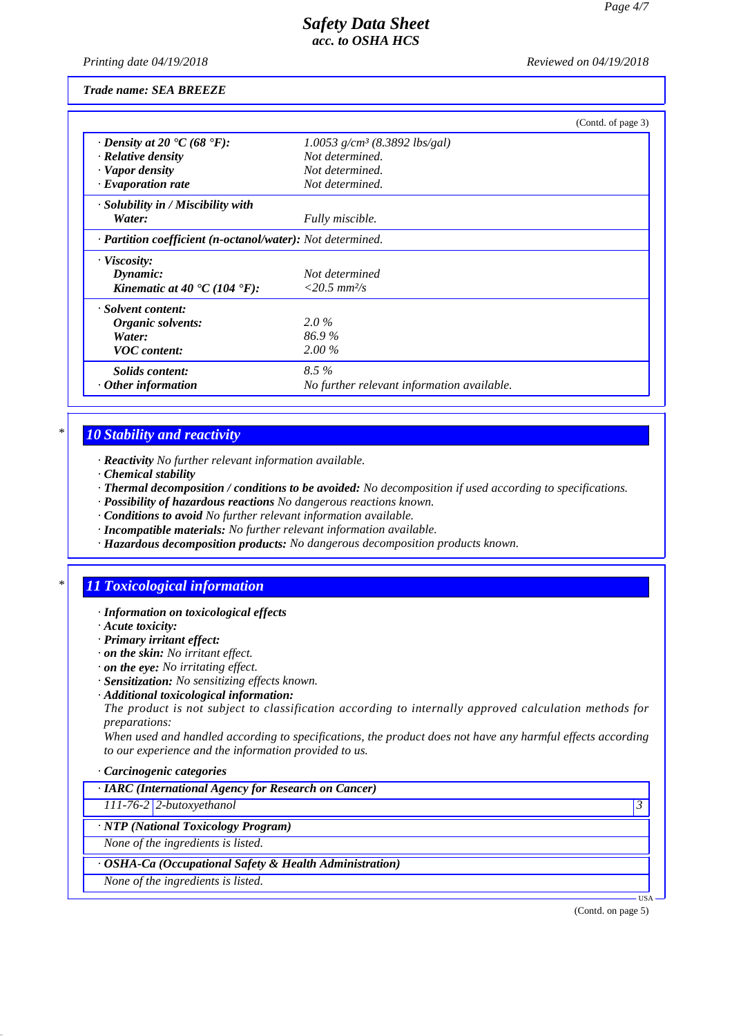*Printing date 04/19/2018 Reviewed on 04/19/2018*

*Trade name: SEA BREEZE*

|                                                                   |                                             | (Contd. of page 3) |
|-------------------------------------------------------------------|---------------------------------------------|--------------------|
| $\cdot$ Density at 20 $\cdot$ C (68 $\cdot$ F):                   | $1.0053$ g/cm <sup>3</sup> (8.3892 lbs/gal) |                    |
| · Relative density                                                | Not determined.                             |                    |
| · Vapor density                                                   | Not determined.                             |                    |
| $\cdot$ Evaporation rate                                          | Not determined.                             |                    |
| $\cdot$ Solubility in / Miscibility with                          |                                             |                    |
| Water:                                                            | Fully miscible.                             |                    |
| · <b>Partition coefficient (n-octanol/water):</b> Not determined. |                                             |                    |
| · Viscosity:                                                      |                                             |                    |
| Dynamic:                                                          | Not determined                              |                    |
| Kinematic at 40 $\textdegree$ C (104 $\textdegree$ F):            | $<$ 20.5 mm <sup>2</sup> /s                 |                    |
| · Solvent content:                                                |                                             |                    |
| Organic solvents:                                                 | $2.0\%$                                     |                    |
| Water:                                                            | 86.9%                                       |                    |
| <b>VOC</b> content:                                               | $2.00\%$                                    |                    |
| <i>Solids content:</i>                                            | $8.5\%$                                     |                    |
| $\cdot$ Other information                                         | No further relevant information available.  |                    |

# *\* 10 Stability and reactivity*

*· Reactivity No further relevant information available.*

- *· Chemical stability*
- *· Thermal decomposition / conditions to be avoided: No decomposition if used according to specifications.*
- *· Possibility of hazardous reactions No dangerous reactions known.*
- *· Conditions to avoid No further relevant information available.*
- *· Incompatible materials: No further relevant information available.*
- *· Hazardous decomposition products: No dangerous decomposition products known.*

# *\* 11 Toxicological information*

#### *· Information on toxicological effects*

- *· Acute toxicity:*
- *· Primary irritant effect:*
- *· on the skin: No irritant effect.*
- *· on the eye: No irritating effect.*
- *· Sensitization: No sensitizing effects known.*
- *· Additional toxicological information:*

*The product is not subject to classification according to internally approved calculation methods for preparations:*

*When used and handled according to specifications, the product does not have any harmful effects according to our experience and the information provided to us.*

#### *· Carcinogenic categories*

| · IARC (International Agency for Research on Cancer) |  |
|------------------------------------------------------|--|
|------------------------------------------------------|--|

*111-76-2 2-butoxyethanol 3* 

#### *· NTP (National Toxicology Program)*

*None of the ingredients is listed.*

#### *· OSHA-Ca (Occupational Safety & Health Administration)*

*None of the ingredients is listed.*

(Contd. on page 5)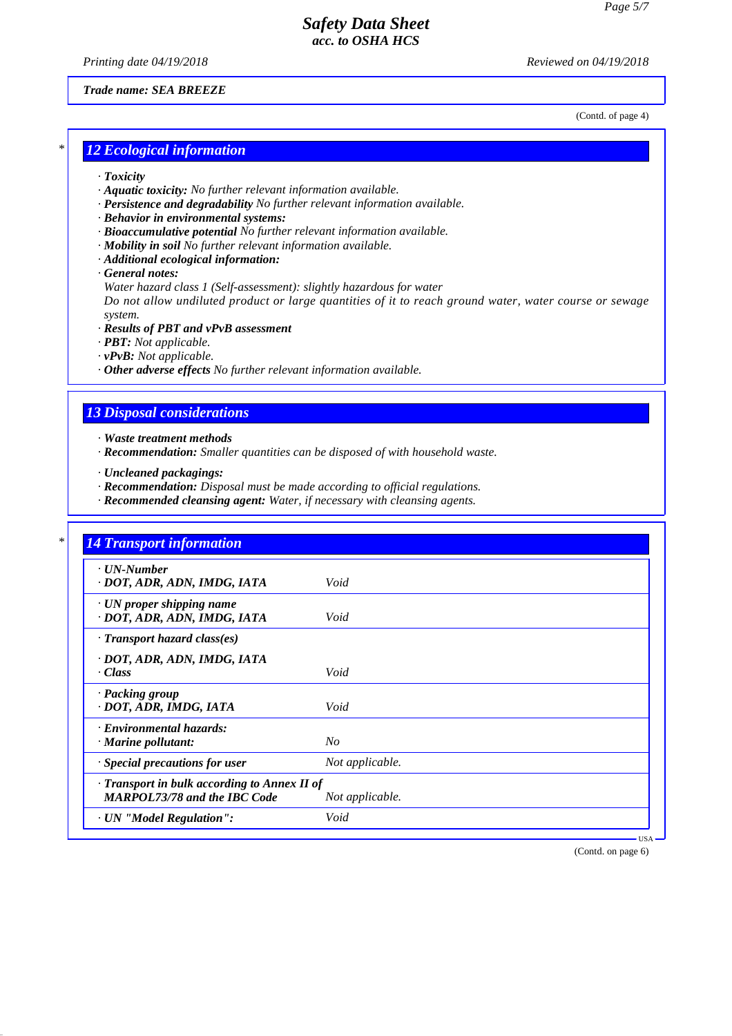*Printing date 04/19/2018 Reviewed on 04/19/2018*

### *Trade name: SEA BREEZE*

(Contd. of page 4)

## *\* 12 Ecological information*

- *· Toxicity*
- *· Aquatic toxicity: No further relevant information available.*
- *· Persistence and degradability No further relevant information available.*
- *· Behavior in environmental systems:*
- *· Bioaccumulative potential No further relevant information available.*
- *· Mobility in soil No further relevant information available.*
- *· Additional ecological information:*
- *· General notes:*
- *Water hazard class 1 (Self-assessment): slightly hazardous for water*

*Do not allow undiluted product or large quantities of it to reach ground water, water course or sewage system.*

- *· Results of PBT and vPvB assessment*
- *· PBT: Not applicable.*
- *· vPvB: Not applicable.*
- *· Other adverse effects No further relevant information available.*

### *13 Disposal considerations*

- *· Waste treatment methods*
- *· Recommendation: Smaller quantities can be disposed of with household waste.*
- *· Uncleaned packagings:*
- *· Recommendation: Disposal must be made according to official regulations.*
- *· Recommended cleansing agent: Water, if necessary with cleansing agents.*

| <b>14 Transport information</b>              |                 |
|----------------------------------------------|-----------------|
| $\cdot$ UN-Number                            |                 |
| · DOT, ADR, ADN, IMDG, IATA                  | Void            |
| · UN proper shipping name                    |                 |
| · DOT, ADR, ADN, IMDG, IATA                  | Void            |
| $\cdot$ Transport hazard class(es)           |                 |
| · DOT, ADR, ADN, IMDG, IATA                  |                 |
| · Class                                      | Void            |
| · Packing group                              |                 |
| · DOT, ADR, IMDG, IATA                       | Void            |
| · Environmental hazards:                     |                 |
| $\cdot$ Marine pollutant:                    | N <sub>O</sub>  |
| · Special precautions for user               | Not applicable. |
| · Transport in bulk according to Annex II of |                 |
| <b>MARPOL73/78 and the IBC Code</b>          | Not applicable. |
| · UN "Model Regulation":                     | Void            |

(Contd. on page 6)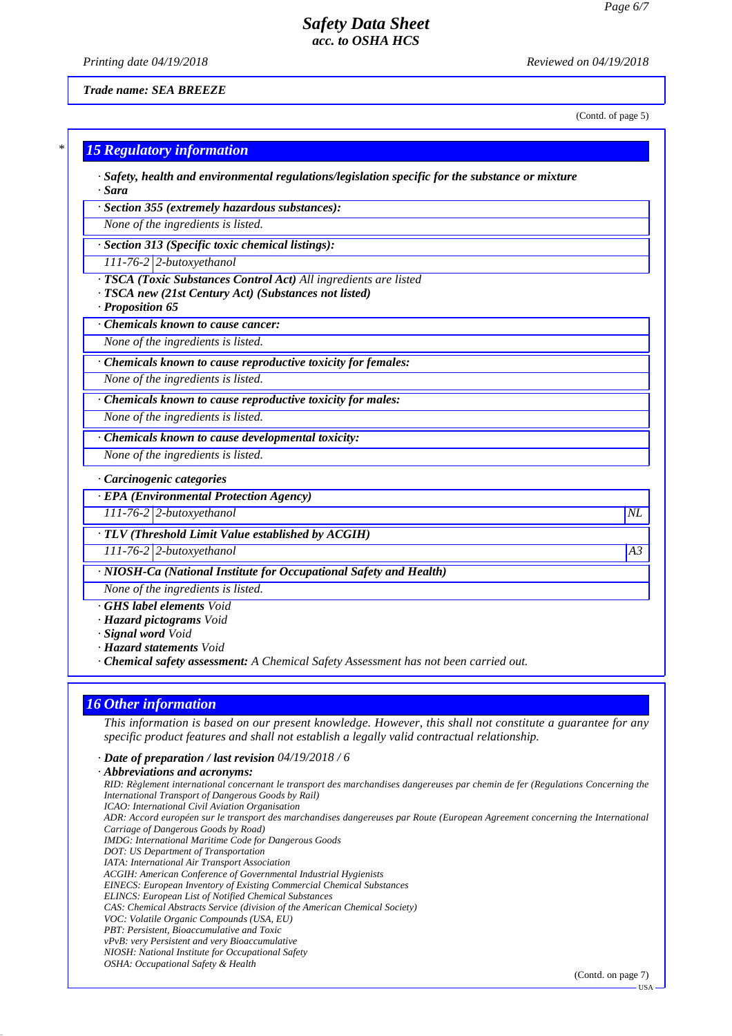*Printing date 04/19/2018 Reviewed on 04/19/2018*

*Trade name: SEA BREEZE*

(Contd. of page 5)

| · Section 355 (extremely hazardous substances):                                                                                             |                 |
|---------------------------------------------------------------------------------------------------------------------------------------------|-----------------|
| None of the ingredients is listed.                                                                                                          |                 |
| · Section 313 (Specific toxic chemical listings):                                                                                           |                 |
| 111-76-2 2-butoxyethanol                                                                                                                    |                 |
| · TSCA (Toxic Substances Control Act) All ingredients are listed<br>TSCA new (21st Century Act) (Substances not listed)<br>· Proposition 65 |                 |
| Chemicals known to cause cancer:                                                                                                            |                 |
| None of the ingredients is listed.                                                                                                          |                 |
| Chemicals known to cause reproductive toxicity for females:                                                                                 |                 |
| None of the ingredients is listed.                                                                                                          |                 |
| · Chemicals known to cause reproductive toxicity for males:                                                                                 |                 |
| None of the ingredients is listed.                                                                                                          |                 |
| · Chemicals known to cause developmental toxicity:                                                                                          |                 |
| None of the ingredients is listed.                                                                                                          |                 |
| · Carcinogenic categories                                                                                                                   |                 |
| <b>· EPA (Environmental Protection Agency)</b>                                                                                              |                 |
| 111-76-2 2-butoxyethanol                                                                                                                    | $\overline{NL}$ |
| · TLV (Threshold Limit Value established by ACGIH)                                                                                          |                 |
| $111-76-2$ 2-butoxyethanol                                                                                                                  | A3              |
| · NIOSH-Ca (National Institute for Occupational Safety and Health)                                                                          |                 |
| None of the ingredients is listed.                                                                                                          |                 |
| <b>GHS</b> label elements Void<br>· Hazard pictograms Void<br>· Signal word Void                                                            |                 |
| · Hazard statements Void<br>· Chemical safety assessment: A Chemical Safety Assessment has not been carried out.                            |                 |

# *16 Other information*

*This information is based on our present knowledge. However, this shall not constitute a guarantee for any specific product features and shall not establish a legally valid contractual relationship.*

*· Date of preparation / last revision 04/19/2018 / 6*

*· Abbreviations and acronyms: RID: Règlement international concernant le transport des marchandises dangereuses par chemin de fer (Regulations Concerning the International Transport of Dangerous Goods by Rail) ICAO: International Civil Aviation Organisation ADR: Accord européen sur le transport des marchandises dangereuses par Route (European Agreement concerning the International Carriage of Dangerous Goods by Road) IMDG: International Maritime Code for Dangerous Goods DOT: US Department of Transportation IATA: International Air Transport Association ACGIH: American Conference of Governmental Industrial Hygienists EINECS: European Inventory of Existing Commercial Chemical Substances ELINCS: European List of Notified Chemical Substances CAS: Chemical Abstracts Service (division of the American Chemical Society) VOC: Volatile Organic Compounds (USA, EU) PBT: Persistent, Bioaccumulative and Toxic vPvB: very Persistent and very Bioaccumulative NIOSH: National Institute for Occupational Safety OSHA: Occupational Safety & Health*